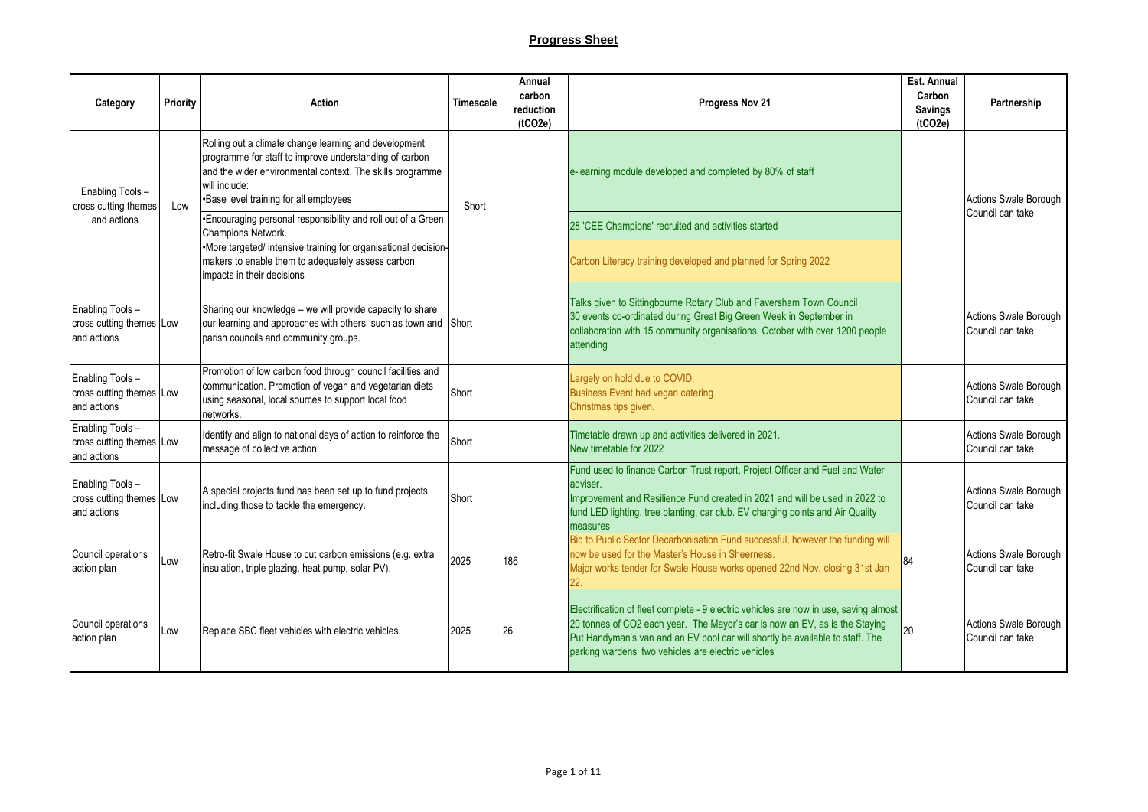## **Progress Sheet**

| Category                                                    | <b>Priority</b> | Action                                                                                                                                                                                                                                  | <b>Timescale</b> | Annual<br>carbon<br>reduction<br>(1CO2e) | Progress Nov 21                                                                                                                                                                                                                                                                                              | Est. Annual<br>Carbon<br><b>Savings</b><br>(tCO2e) | Partnership                                      |
|-------------------------------------------------------------|-----------------|-----------------------------------------------------------------------------------------------------------------------------------------------------------------------------------------------------------------------------------------|------------------|------------------------------------------|--------------------------------------------------------------------------------------------------------------------------------------------------------------------------------------------------------------------------------------------------------------------------------------------------------------|----------------------------------------------------|--------------------------------------------------|
| Enabling Tools-<br>cross cutting themes                     | Low             | Rolling out a climate change learning and development<br>programme for staff to improve understanding of carbon<br>and the wider environmental context. The skills programme<br>will include:<br>•Base level training for all employees | Short            |                                          | e-learning module developed and completed by 80% of staff                                                                                                                                                                                                                                                    |                                                    | <b>Actions Swale Borough</b>                     |
| and actions                                                 |                 | •Encouraging personal responsibility and roll out of a Green<br>Champions Network.<br>·More targeted/ intensive training for organisational decision-                                                                                   |                  |                                          | 28 'CEE Champions' recruited and activities started                                                                                                                                                                                                                                                          |                                                    | Council can take                                 |
|                                                             |                 | makers to enable them to adequately assess carbon<br>impacts in their decisions                                                                                                                                                         |                  |                                          | Carbon Literacy training developed and planned for Spring 2022                                                                                                                                                                                                                                               |                                                    |                                                  |
| Enabling Tools-<br>cross cutting themes Low<br>and actions  |                 | Sharing our knowledge – we will provide capacity to share<br>our learning and approaches with others, such as town and<br>parish councils and community groups.                                                                         | Short            |                                          | Talks given to Sittingbourne Rotary Club and Faversham Town Council<br>30 events co-ordinated during Great Big Green Week in September in<br>collaboration with 15 community organisations, October with over 1200 people<br>attending                                                                       |                                                    | <b>Actions Swale Borough</b><br>Council can take |
| Enabling Tools -<br>cross cutting themes Low<br>and actions |                 | Promotion of low carbon food through council facilities and<br>communication. Promotion of vegan and vegetarian diets<br>using seasonal, local sources to support local food<br>networks.                                               | Short            |                                          | Largely on hold due to COVID;<br>Business Event had vegan catering<br>Christmas tips given.                                                                                                                                                                                                                  |                                                    | Actions Swale Borough<br>Council can take        |
| Enabling Tools -<br>cross cutting themes Low<br>and actions |                 | Identify and align to national days of action to reinforce the<br>message of collective action.                                                                                                                                         | Short            |                                          | Timetable drawn up and activities delivered in 2021.<br>New timetable for 2022                                                                                                                                                                                                                               |                                                    | Actions Swale Borough<br>Council can take        |
| Enabling Tools-<br>cross cutting themes Low<br>and actions  |                 | A special projects fund has been set up to fund projects<br>including those to tackle the emergency.                                                                                                                                    | Short            |                                          | Fund used to finance Carbon Trust report, Project Officer and Fuel and Water<br>adviser.<br>Improvement and Resilience Fund created in 2021 and will be used in 2022 to<br>fund LED lighting, tree planting, car club. EV charging points and Air Quality<br>measures                                        |                                                    | Actions Swale Borough<br>Council can take        |
| Council operations<br>action plan                           | Low             | Retro-fit Swale House to cut carbon emissions (e.g. extra<br>insulation, triple glazing, heat pump, solar PV).                                                                                                                          | 2025             | 186                                      | Bid to Public Sector Decarbonisation Fund successful, however the funding will<br>now be used for the Master's House in Sheerness.<br>Major works tender for Swale House works opened 22nd Nov, closing 31st Jan                                                                                             |                                                    | Actions Swale Borough<br>Council can take        |
| Council operations<br>action plan                           | Low             | Replace SBC fleet vehicles with electric vehicles.                                                                                                                                                                                      | 2025             | 26                                       | Electrification of fleet complete - 9 electric vehicles are now in use, saving almost<br>20 tonnes of CO2 each year. The Mayor's car is now an EV, as is the Staying<br>Put Handyman's van and an EV pool car will shortly be available to staff. The<br>parking wardens' two vehicles are electric vehicles |                                                    | <b>Actions Swale Borough</b><br>Council can take |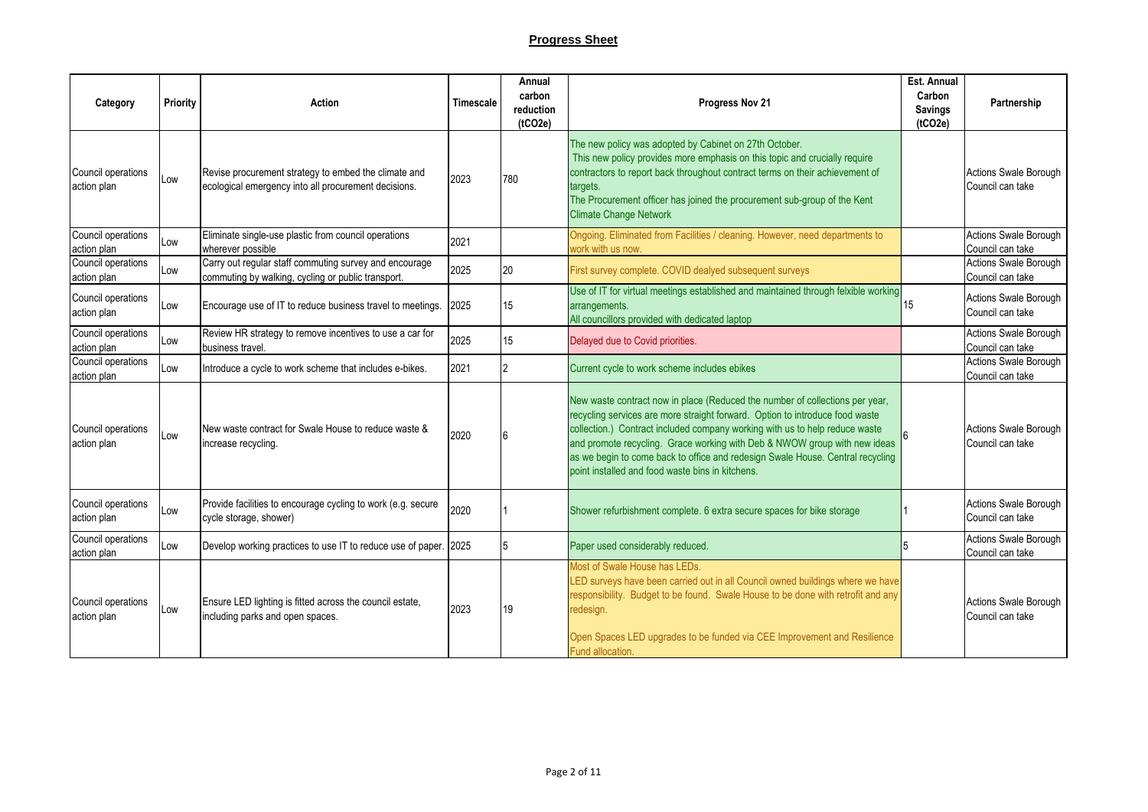| Category                          | <b>Priority</b> | <b>Action</b>                                                                                                | Timescale | Annual<br>carbon<br>reduction<br>(tCO2e) | Progress Nov 21                                                                                                                                                                                                                                                                                                                                                                                                                                                | Est. Annual<br>Carbon<br><b>Savings</b><br>(tCO2e) | Partnership                                      |
|-----------------------------------|-----------------|--------------------------------------------------------------------------------------------------------------|-----------|------------------------------------------|----------------------------------------------------------------------------------------------------------------------------------------------------------------------------------------------------------------------------------------------------------------------------------------------------------------------------------------------------------------------------------------------------------------------------------------------------------------|----------------------------------------------------|--------------------------------------------------|
| Council operations<br>action plan | Low             | Revise procurement strategy to embed the climate and<br>ecological emergency into all procurement decisions. | 2023      | 780                                      | The new policy was adopted by Cabinet on 27th October.<br>This new policy provides more emphasis on this topic and crucially require<br>contractors to report back throughout contract terms on their achievement of<br>targets.<br>The Procurement officer has joined the procurement sub-group of the Kent<br><b>Climate Change Network</b>                                                                                                                  |                                                    | Actions Swale Borough<br>Council can take        |
| Council operations<br>action plan | Low             | Eliminate single-use plastic from council operations<br>wherever possible                                    | 2021      |                                          | Ongoing. Eliminated from Facilities / cleaning. However, need departments to<br>work with us now.                                                                                                                                                                                                                                                                                                                                                              |                                                    | Actions Swale Borough<br>Council can take        |
| Council operations<br>action plan | Low             | Carry out regular staff commuting survey and encourage<br>commuting by walking, cycling or public transport. | 2025      | 20                                       | First survey complete. COVID dealyed subsequent surveys                                                                                                                                                                                                                                                                                                                                                                                                        |                                                    | <b>Actions Swale Borough</b><br>Council can take |
| Council operations<br>action plan | Low             | Encourage use of IT to reduce business travel to meetings.                                                   | 2025      | 15                                       | Use of IT for virtual meetings established and maintained through felxible working<br>arrangements.<br>All councillors provided with dedicated laptop                                                                                                                                                                                                                                                                                                          | 15                                                 | Actions Swale Borough<br>Council can take        |
| Council operations<br>action plan | Low             | Review HR strategy to remove incentives to use a car for<br>business travel.                                 | 2025      | 15                                       | Delayed due to Covid priorities.                                                                                                                                                                                                                                                                                                                                                                                                                               |                                                    | Actions Swale Borough<br>Council can take        |
| Council operations<br>action plan | Low             | Introduce a cycle to work scheme that includes e-bikes.                                                      | 2021      |                                          | Current cycle to work scheme includes ebikes                                                                                                                                                                                                                                                                                                                                                                                                                   |                                                    | Actions Swale Borough<br>Council can take        |
| Council operations<br>action plan | Low             | New waste contract for Swale House to reduce waste &<br>increase recycling.                                  | 2020      |                                          | New waste contract now in place (Reduced the number of collections per year,<br>recycling services are more straight forward. Option to introduce food waste<br>collection.) Contract included company working with us to help reduce waste<br>and promote recycling. Grace working with Deb & NWOW group with new ideas<br>as we begin to come back to office and redesign Swale House. Central recycling<br>point installed and food waste bins in kitchens. |                                                    | Actions Swale Borough<br>Council can take        |
| Council operations<br>action plan | Low             | Provide facilities to encourage cycling to work (e.g. secure<br>cycle storage, shower)                       | 2020      |                                          | Shower refurbishment complete. 6 extra secure spaces for bike storage                                                                                                                                                                                                                                                                                                                                                                                          |                                                    | Actions Swale Borough<br>Council can take        |
| Council operations<br>action plan | Low             | Develop working practices to use IT to reduce use of paper. 2025                                             |           |                                          | Paper used considerably reduced.                                                                                                                                                                                                                                                                                                                                                                                                                               |                                                    | Actions Swale Borough<br>Council can take        |
| Council operations<br>action plan | Low             | Ensure LED lighting is fitted across the council estate,<br>including parks and open spaces.                 | 2023      | 19                                       | Most of Swale House has LEDs.<br>LED surveys have been carried out in all Council owned buildings where we have<br>responsibility. Budget to be found. Swale House to be done with retrofit and any<br>redesign.<br>Open Spaces LED upgrades to be funded via CEE Improvement and Resilience<br>Fund allocation.                                                                                                                                               |                                                    | Actions Swale Borough<br>Council can take        |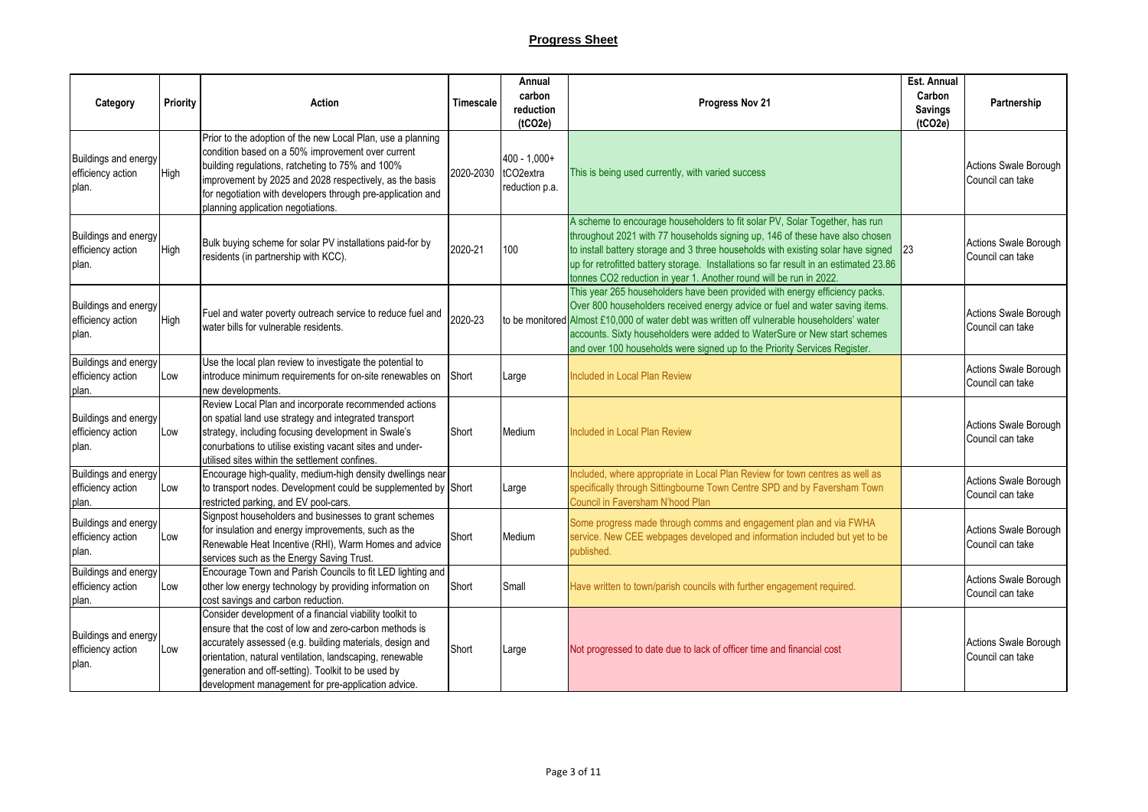| Category                                                  | Priority | Action                                                                                                                                                                                                                                                                                                                                                 | Timescale | Annual<br>carbon<br>reduction<br>(tCO2e)                   | Progress Nov 21                                                                                                                                                                                                                                                                                                                                                                                                      | Est. Annual<br>Carbon<br><b>Savings</b><br>(1CO2e) | Partnership                                      |
|-----------------------------------------------------------|----------|--------------------------------------------------------------------------------------------------------------------------------------------------------------------------------------------------------------------------------------------------------------------------------------------------------------------------------------------------------|-----------|------------------------------------------------------------|----------------------------------------------------------------------------------------------------------------------------------------------------------------------------------------------------------------------------------------------------------------------------------------------------------------------------------------------------------------------------------------------------------------------|----------------------------------------------------|--------------------------------------------------|
| Buildings and energy<br>efficiency action<br>plan.        | High     | Prior to the adoption of the new Local Plan, use a planning<br>condition based on a 50% improvement over current<br>building regulations, ratcheting to 75% and 100%<br>improvement by 2025 and 2028 respectively, as the basis<br>for negotiation with developers through pre-application and<br>planning application negotiations.                   | 2020-2030 | $400 - 1,000+$<br>tCO <sub>2</sub> extra<br>reduction p.a. | This is being used currently, with varied success                                                                                                                                                                                                                                                                                                                                                                    |                                                    | Actions Swale Borough<br>Council can take        |
| Buildings and energy<br>efficiency action<br>plan.        | High     | Bulk buying scheme for solar PV installations paid-for by<br>residents (in partnership with KCC).                                                                                                                                                                                                                                                      | 2020-21   | 100                                                        | A scheme to encourage householders to fit solar PV, Solar Together, has run<br>throughout 2021 with 77 households signing up, 146 of these have also chosen<br>to install battery storage and 3 three households with existing solar have signed<br>up for retrofitted battery storage. Installations so far result in an estimated 23.86<br>tonnes CO2 reduction in year 1. Another round will be run in 2022.      | 23                                                 | <b>Actions Swale Borough</b><br>Council can take |
| Buildings and energy<br>efficiency action<br>plan.        | High     | Fuel and water poverty outreach service to reduce fuel and<br>water bills for vulnerable residents.                                                                                                                                                                                                                                                    | 2020-23   |                                                            | This year 265 householders have been provided with energy efficiency packs.<br>Over 800 householders received energy advice or fuel and water saving items.<br>to be monitored Almost £10,000 of water debt was written off vulnerable householders' water<br>accounts. Sixty householders were added to WaterSure or New start schemes<br>and over 100 households were signed up to the Priority Services Register. |                                                    | Actions Swale Borough<br>Council can take        |
| Buildings and energy<br>efficiency action<br>plan.        | Low      | Use the local plan review to investigate the potential to<br>introduce minimum requirements for on-site renewables on<br>new developments.                                                                                                                                                                                                             | Short     | Large                                                      | Included in Local Plan Review                                                                                                                                                                                                                                                                                                                                                                                        |                                                    | Actions Swale Borough<br>Council can take        |
| Buildings and energy<br>efficiency action<br>plan.        | Low      | Review Local Plan and incorporate recommended actions<br>on spatial land use strategy and integrated transport<br>strategy, including focusing development in Swale's<br>conurbations to utilise existing vacant sites and under-<br>utilised sites within the settlement confines.                                                                    | Short     | Medium                                                     | Included in Local Plan Review                                                                                                                                                                                                                                                                                                                                                                                        |                                                    | <b>Actions Swale Borough</b><br>Council can take |
| Buildings and energy<br>efficiency action<br>plan.        | Low      | Encourage high-quality, medium-high density dwellings near<br>to transport nodes. Development could be supplemented by Short<br>restricted parking, and EV pool-cars.                                                                                                                                                                                  |           | Large                                                      | Included, where appropriate in Local Plan Review for town centres as well as<br>specifically through Sittingbourne Town Centre SPD and by Faversham Town<br>Council in Faversham N'hood Plan                                                                                                                                                                                                                         |                                                    | Actions Swale Borough<br>Council can take        |
| Buildings and energy<br>efficiency action<br>plan.        | Low      | Signpost householders and businesses to grant schemes<br>for insulation and energy improvements, such as the<br>Renewable Heat Incentive (RHI), Warm Homes and advice<br>services such as the Energy Saving Trust.                                                                                                                                     | Short     | Medium                                                     | Some progress made through comms and engagement plan and via FWHA<br>service. New CEE webpages developed and information included but yet to be<br>published.                                                                                                                                                                                                                                                        |                                                    | Actions Swale Borough<br>Council can take        |
| <b>Buildings and energy</b><br>efficiency action<br>plan. | Low      | Encourage Town and Parish Councils to fit LED lighting and<br>other low energy technology by providing information on<br>cost savings and carbon reduction.                                                                                                                                                                                            | Short     | Small                                                      | Have written to town/parish councils with further engagement required.                                                                                                                                                                                                                                                                                                                                               |                                                    | Actions Swale Borough<br>Council can take        |
| Buildings and energy<br>efficiency action<br>plan.        | Low      | Consider development of a financial viability toolkit to<br>ensure that the cost of low and zero-carbon methods is<br>accurately assessed (e.g. building materials, design and<br>orientation, natural ventilation, landscaping, renewable<br>generation and off-setting). Toolkit to be used by<br>development management for pre-application advice. | Short     | Large                                                      | Not progressed to date due to lack of officer time and financial cost                                                                                                                                                                                                                                                                                                                                                |                                                    | <b>Actions Swale Borough</b><br>Council can take |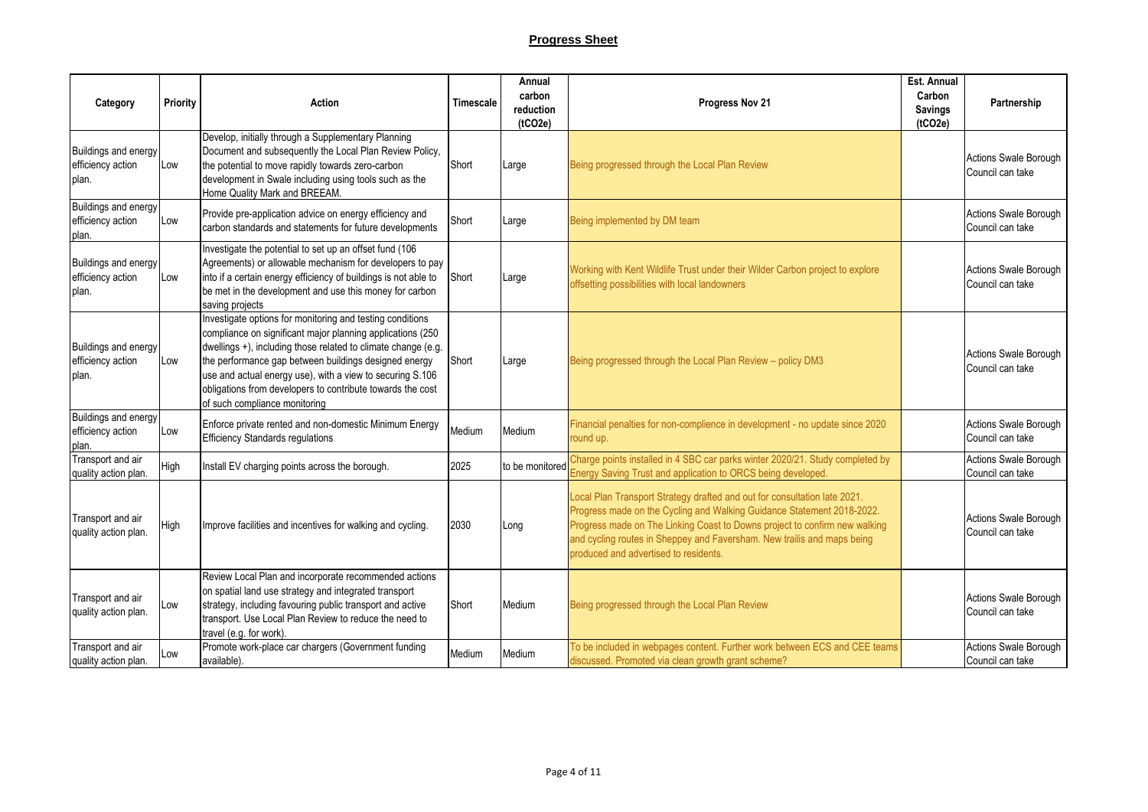| Category                                                  | <b>Priority</b> | <b>Action</b>                                                                                                                                                                                                                                                                                                                                                                                                 | Timescale | Annual<br>carbon<br>reduction<br>(tCO2e) | Progress Nov 21                                                                                                                                                                                                                                                                                                                                       | Est. Annual<br>Carbon<br><b>Savings</b><br>(tCO2e) | Partnership                               |
|-----------------------------------------------------------|-----------------|---------------------------------------------------------------------------------------------------------------------------------------------------------------------------------------------------------------------------------------------------------------------------------------------------------------------------------------------------------------------------------------------------------------|-----------|------------------------------------------|-------------------------------------------------------------------------------------------------------------------------------------------------------------------------------------------------------------------------------------------------------------------------------------------------------------------------------------------------------|----------------------------------------------------|-------------------------------------------|
| Buildings and energy<br>efficiency action<br>plan.        | Low             | Develop, initially through a Supplementary Planning<br>Document and subsequently the Local Plan Review Policy,<br>the potential to move rapidly towards zero-carbon<br>development in Swale including using tools such as the<br>Home Quality Mark and BREEAM.                                                                                                                                                | Short     | Large                                    | Being progressed through the Local Plan Review                                                                                                                                                                                                                                                                                                        |                                                    | Actions Swale Borough<br>Council can take |
| <b>Buildings and energy</b><br>efficiency action<br>plan. | Low             | Provide pre-application advice on energy efficiency and<br>carbon standards and statements for future developments                                                                                                                                                                                                                                                                                            | Short     | Large                                    | Being implemented by DM team                                                                                                                                                                                                                                                                                                                          |                                                    | Actions Swale Borough<br>Council can take |
| Buildings and energy<br>efficiency action<br>plan.        | Low             | Investigate the potential to set up an offset fund (106<br>Agreements) or allowable mechanism for developers to pay<br>into if a certain energy efficiency of buildings is not able to<br>be met in the development and use this money for carbon<br>saving projects                                                                                                                                          | Short     | Large                                    | Working with Kent Wildlife Trust under their Wilder Carbon project to explore<br>offsetting possibilities with local landowners                                                                                                                                                                                                                       |                                                    | Actions Swale Borough<br>Council can take |
| Buildings and energy<br>efficiency action<br>plan.        | Low             | Investigate options for monitoring and testing conditions<br>compliance on significant major planning applications (250<br>dwellings +), including those related to climate change (e.g.<br>the performance gap between buildings designed energy<br>use and actual energy use), with a view to securing S.106<br>obligations from developers to contribute towards the cost<br>of such compliance monitoring | Short     | Large                                    | Being progressed through the Local Plan Review - policy DM3                                                                                                                                                                                                                                                                                           |                                                    | Actions Swale Borough<br>Council can take |
| Buildings and energy<br>efficiency action<br>plan.        | Low             | Enforce private rented and non-domestic Minimum Energy<br><b>Efficiency Standards regulations</b>                                                                                                                                                                                                                                                                                                             | Medium    | Medium                                   | Financial penalties for non-complience in development - no update since 2020<br>round up.                                                                                                                                                                                                                                                             |                                                    | Actions Swale Borough<br>Council can take |
| Transport and air<br>quality action plan.                 | High            | Install EV charging points across the borough.                                                                                                                                                                                                                                                                                                                                                                | 2025      | to be monitored                          | Charge points installed in 4 SBC car parks winter 2020/21. Study completed by<br>Energy Saving Trust and application to ORCS being developed.                                                                                                                                                                                                         |                                                    | Actions Swale Borough<br>Council can take |
| Transport and air<br>quality action plan.                 | High            | Improve facilities and incentives for walking and cycling.                                                                                                                                                                                                                                                                                                                                                    | 2030      | Long                                     | Local Plan Transport Strategy drafted and out for consultation late 2021.<br>Progress made on the Cycling and Walking Guidance Statement 2018-2022.<br>Progress made on The Linking Coast to Downs project to confirm new walking<br>and cycling routes in Sheppey and Faversham. New trailis and maps being<br>produced and advertised to residents. |                                                    | Actions Swale Borough<br>Council can take |
| Transport and air<br>quality action plan.                 | Low             | Review Local Plan and incorporate recommended actions<br>on spatial land use strategy and integrated transport<br>strategy, including favouring public transport and active<br>transport. Use Local Plan Review to reduce the need to<br>travel (e.g. for work).                                                                                                                                              | Short     | Medium                                   | Being progressed through the Local Plan Review                                                                                                                                                                                                                                                                                                        |                                                    | Actions Swale Borough<br>Council can take |
| Transport and air<br>quality action plan.                 | Low             | Promote work-place car chargers (Government funding<br>available).                                                                                                                                                                                                                                                                                                                                            | Medium    | Medium                                   | To be included in webpages content. Further work between ECS and CEE teams<br>discussed. Promoted via clean growth grant scheme?                                                                                                                                                                                                                      |                                                    | Actions Swale Borough<br>Council can take |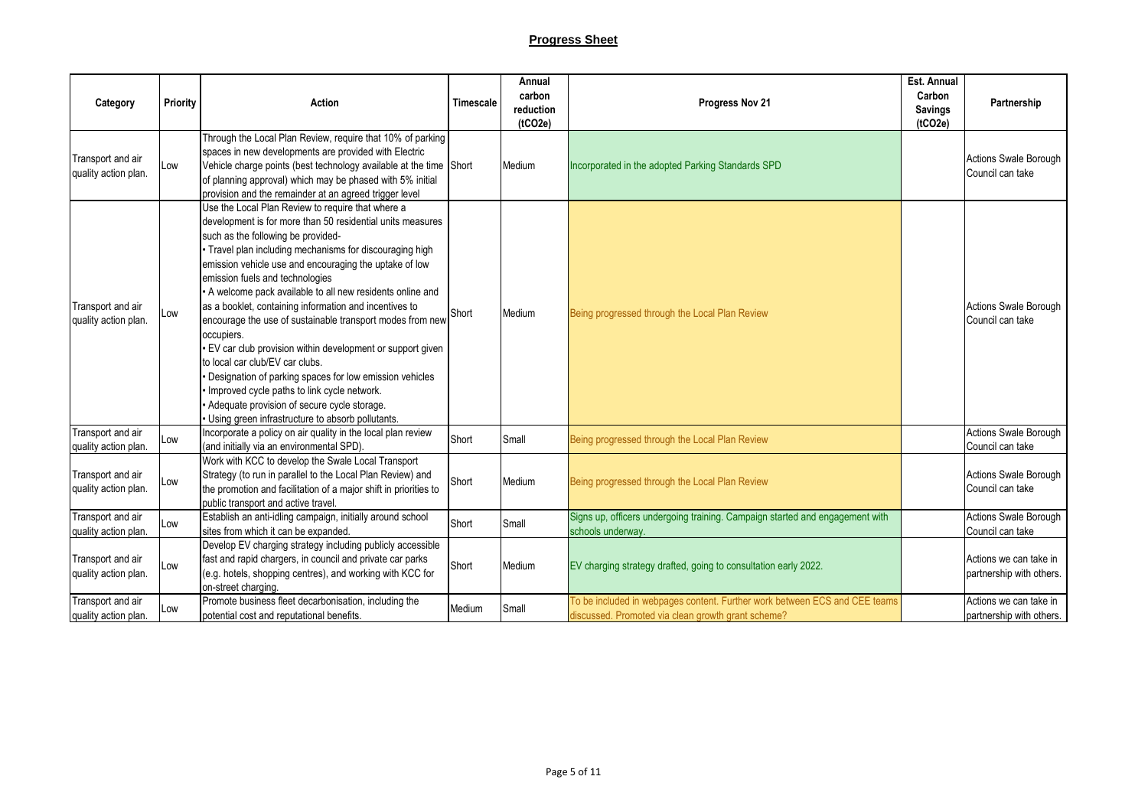| Category                                  | Priority | <b>Action</b>                                                                                                                                                                                                                                                                                                                                                                                                                                                                                                                                                                                                                                                                                                                                                                                                              | Timescale | Annual<br>carbon<br>reduction<br>(tCO2e) | Progress Nov 21                                                                                                                  | Est. Annual<br>Carbon<br><b>Savings</b><br>(tCO2e) | Partnership                                        |
|-------------------------------------------|----------|----------------------------------------------------------------------------------------------------------------------------------------------------------------------------------------------------------------------------------------------------------------------------------------------------------------------------------------------------------------------------------------------------------------------------------------------------------------------------------------------------------------------------------------------------------------------------------------------------------------------------------------------------------------------------------------------------------------------------------------------------------------------------------------------------------------------------|-----------|------------------------------------------|----------------------------------------------------------------------------------------------------------------------------------|----------------------------------------------------|----------------------------------------------------|
| Transport and air<br>quality action plan. | Low      | Through the Local Plan Review, require that 10% of parking<br>spaces in new developments are provided with Electric<br>Vehicle charge points (best technology available at the time Short<br>of planning approval) which may be phased with 5% initial<br>provision and the remainder at an agreed trigger level                                                                                                                                                                                                                                                                                                                                                                                                                                                                                                           |           | Medium                                   | Incorporated in the adopted Parking Standards SPD                                                                                |                                                    | Actions Swale Borough<br>Council can take          |
| Transport and air<br>quality action plan. | Low      | Use the Local Plan Review to require that where a<br>development is for more than 50 residential units measures<br>such as the following be provided-<br>Travel plan including mechanisms for discouraging high<br>emission vehicle use and encouraging the uptake of low<br>emission fuels and technologies<br>A welcome pack available to all new residents online and<br>as a booklet, containing information and incentives to<br>encourage the use of sustainable transport modes from new<br>occupiers.<br>EV car club provision within development or support given<br>to local car club/EV car clubs.<br>Designation of parking spaces for low emission vehicles<br>Improved cycle paths to link cycle network.<br>Adequate provision of secure cycle storage.<br>Using green infrastructure to absorb pollutants. | Short     | Medium                                   | Being progressed through the Local Plan Review                                                                                   |                                                    | <b>Actions Swale Borough</b><br>Council can take   |
| Transport and air<br>quality action plan. | Low      | Incorporate a policy on air quality in the local plan review<br>(and initially via an environmental SPD).                                                                                                                                                                                                                                                                                                                                                                                                                                                                                                                                                                                                                                                                                                                  | Short     | Small                                    | Being progressed through the Local Plan Review                                                                                   |                                                    | Actions Swale Borough<br>Council can take          |
| Transport and air<br>quality action plan. | Low      | Work with KCC to develop the Swale Local Transport<br>Strategy (to run in parallel to the Local Plan Review) and<br>the promotion and facilitation of a major shift in priorities to<br>public transport and active travel.                                                                                                                                                                                                                                                                                                                                                                                                                                                                                                                                                                                                | Short     | Medium                                   | Being progressed through the Local Plan Review                                                                                   |                                                    | Actions Swale Borough<br>Council can take          |
| Transport and air<br>quality action plan. | Low      | Establish an anti-idling campaign, initially around school<br>sites from which it can be expanded.                                                                                                                                                                                                                                                                                                                                                                                                                                                                                                                                                                                                                                                                                                                         | Short     | Small                                    | Signs up, officers undergoing training. Campaign started and engagement with<br>schools underway.                                |                                                    | Actions Swale Borough<br>Council can take          |
| Transport and air<br>quality action plan. | Low      | Develop EV charging strategy including publicly accessible<br>fast and rapid chargers, in council and private car parks<br>(e.g. hotels, shopping centres), and working with KCC for<br>on-street charging.                                                                                                                                                                                                                                                                                                                                                                                                                                                                                                                                                                                                                | Short     | Medium                                   | EV charging strategy drafted, going to consultation early 2022.                                                                  |                                                    | Actions we can take in<br>partnership with others. |
| Transport and air<br>quality action plan. | Low      | Promote business fleet decarbonisation, including the<br>potential cost and reputational benefits.                                                                                                                                                                                                                                                                                                                                                                                                                                                                                                                                                                                                                                                                                                                         | Medium    | Small                                    | To be included in webpages content. Further work between ECS and CEE teams<br>discussed. Promoted via clean growth grant scheme? |                                                    | Actions we can take in<br>partnership with others. |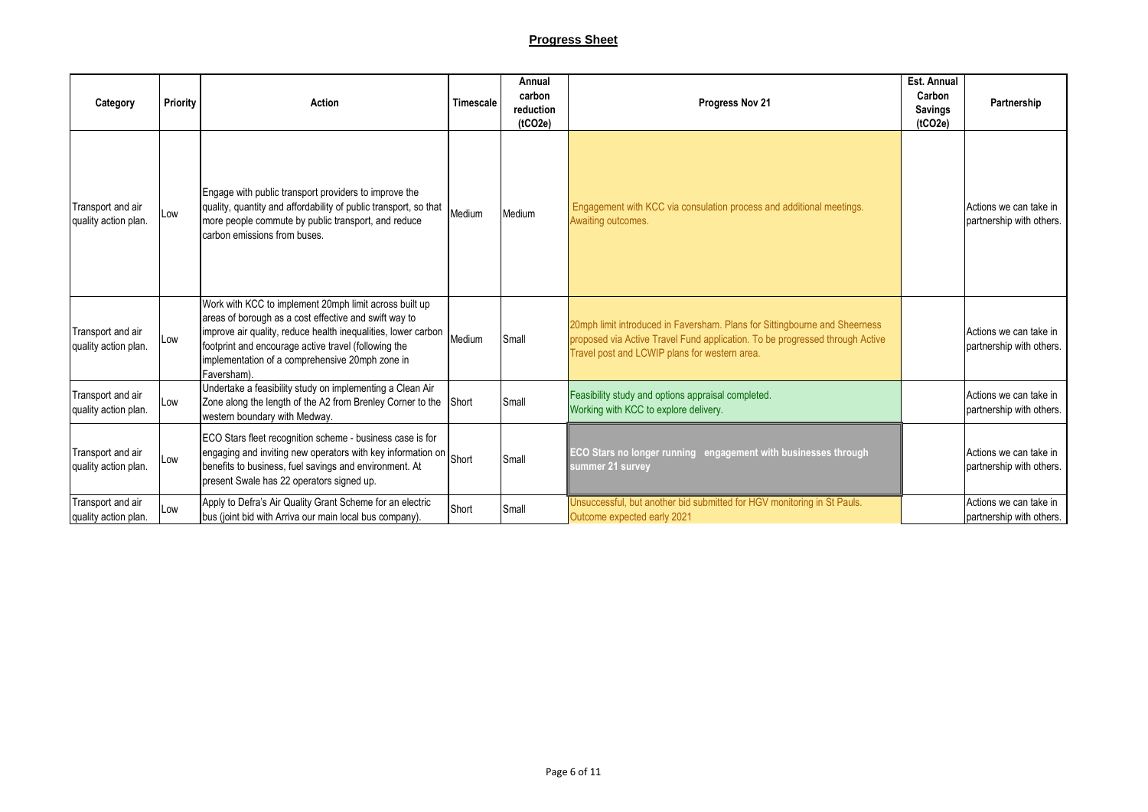## **Progress Sheet**

| Category                                  | <b>Priority</b> | Action                                                                                                                                                                                                                                                                                                     | Timescale | Annual<br>carbon<br>reduction<br>(tCO2e) | Progress Nov 21                                                                                                                                                                                             | Est. Annual<br>Carbon<br><b>Savings</b><br>(tCO2e) | Partnership                                        |
|-------------------------------------------|-----------------|------------------------------------------------------------------------------------------------------------------------------------------------------------------------------------------------------------------------------------------------------------------------------------------------------------|-----------|------------------------------------------|-------------------------------------------------------------------------------------------------------------------------------------------------------------------------------------------------------------|----------------------------------------------------|----------------------------------------------------|
| Transport and air<br>quality action plan. | Low             | Engage with public transport providers to improve the<br>quality, quantity and affordability of public transport, so that<br>more people commute by public transport, and reduce<br>carbon emissions from buses.                                                                                           | Medium    | Medium                                   | Engagement with KCC via consulation process and additional meetings.<br>Awaiting outcomes.                                                                                                                  |                                                    | Actions we can take in<br>partnership with others. |
| Transport and air<br>quality action plan. | Low             | Work with KCC to implement 20mph limit across built up<br>areas of borough as a cost effective and swift way to<br>improve air quality, reduce health inequalities, lower carbon<br>footprint and encourage active travel (following the<br>implementation of a comprehensive 20mph zone in<br>Faversham). | Medium    | Small                                    | 20mph limit introduced in Faversham. Plans for Sittingbourne and Sheerness<br>proposed via Active Travel Fund application. To be progressed through Active<br>Travel post and LCWIP plans for western area. |                                                    | Actions we can take in<br>partnership with others. |
| Transport and air<br>quality action plan. | Low             | Undertake a feasibility study on implementing a Clean Air<br>Zone along the length of the A2 from Brenley Corner to the<br>western boundary with Medway.                                                                                                                                                   | Short     | Small                                    | Feasibility study and options appraisal completed.<br>Working with KCC to explore delivery.                                                                                                                 |                                                    | Actions we can take in<br>partnership with others. |
| Transport and air<br>quality action plan. | Low             | ECO Stars fleet recognition scheme - business case is for<br>engaging and inviting new operators with key information on<br>benefits to business, fuel savings and environment. At<br>present Swale has 22 operators signed up.                                                                            | Short     | Small                                    | ECO Stars no longer running engagement with businesses through<br>summer 21 survey                                                                                                                          |                                                    | Actions we can take in<br>partnership with others. |
| Transport and air<br>quality action plan. | Low             | Apply to Defra's Air Quality Grant Scheme for an electric<br>bus (joint bid with Arriva our main local bus company).                                                                                                                                                                                       | Short     | Small                                    | Unsuccessful, but another bid submitted for HGV monitoring in St Pauls.<br>Outcome expected early 2021                                                                                                      |                                                    | Actions we can take in<br>partnership with others. |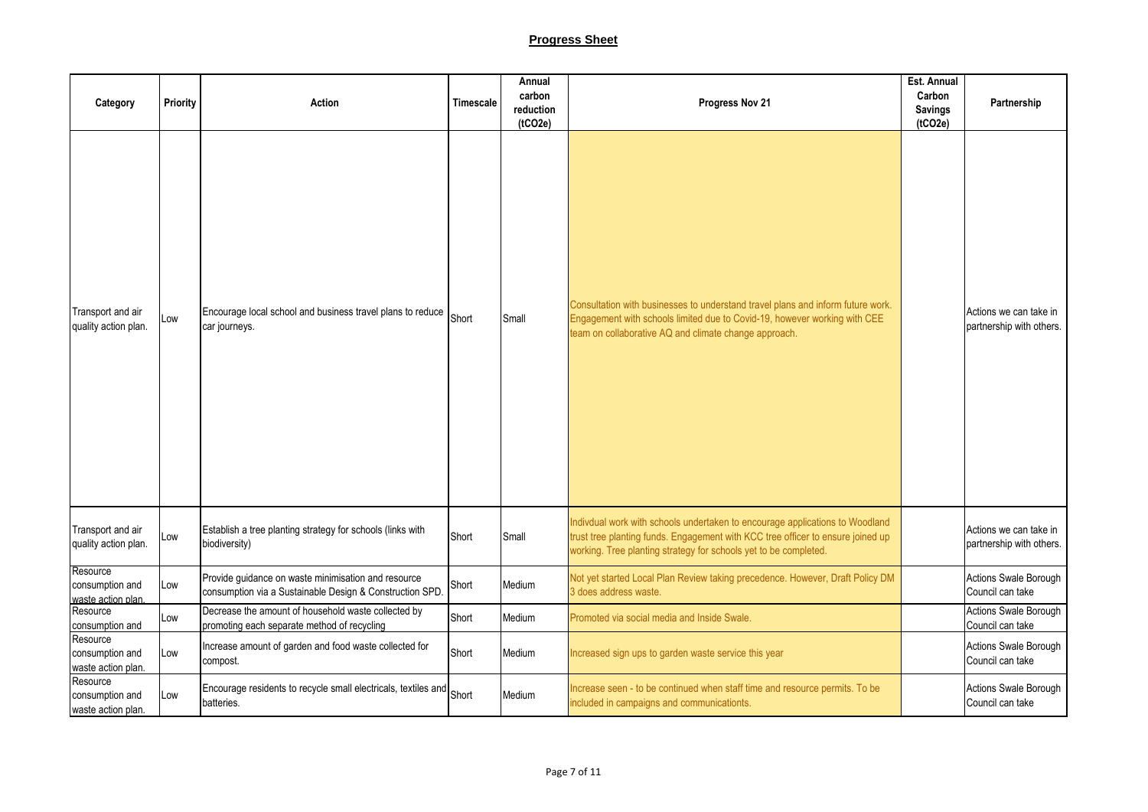## **Progress Sheet**

| Category                                          | Priority | <b>Action</b>                                                                                                   | Timescale | Annual<br>carbon<br>reduction<br>(tCO2e) | Progress Nov 21                                                                                                                                                                                                                     | Est. Annual<br>Carbon<br><b>Savings</b><br>(tCO2e) | Partnership                                        |
|---------------------------------------------------|----------|-----------------------------------------------------------------------------------------------------------------|-----------|------------------------------------------|-------------------------------------------------------------------------------------------------------------------------------------------------------------------------------------------------------------------------------------|----------------------------------------------------|----------------------------------------------------|
| Transport and air<br>quality action plan.         | Low      | Encourage local school and business travel plans to reduce Short<br>car journeys.                               |           | Small                                    | Consultation with businesses to understand travel plans and inform future work.<br>Engagement with schools limited due to Covid-19, however working with CEE<br>team on collaborative AQ and climate change approach.               |                                                    | Actions we can take in<br>partnership with others. |
| Transport and air<br>quality action plan.         | Low      | Establish a tree planting strategy for schools (links with<br>biodiversity)                                     | Short     | Small                                    | Indivdual work with schools undertaken to encourage applications to Woodland<br>trust tree planting funds. Engagement with KCC tree officer to ensure joined up<br>working. Tree planting strategy for schools yet to be completed. |                                                    | Actions we can take in<br>partnership with others. |
| Resource<br>consumption and<br>waste action plan. | Low      | Provide guidance on waste minimisation and resource<br>consumption via a Sustainable Design & Construction SPD. | Short     | Medium                                   | Not yet started Local Plan Review taking precedence. However, Draft Policy DM<br>3 does address waste.                                                                                                                              |                                                    | Actions Swale Borough<br>Council can take          |
| Resource<br>consumption and                       | Low      | Decrease the amount of household waste collected by<br>promoting each separate method of recycling              | Short     | Medium                                   | Promoted via social media and Inside Swale.                                                                                                                                                                                         |                                                    | Actions Swale Borough<br>Council can take          |
| Resource<br>consumption and<br>waste action plan. | Low      | Increase amount of garden and food waste collected for<br>compost.                                              | Short     | Medium                                   | Increased sign ups to garden waste service this year                                                                                                                                                                                |                                                    | Actions Swale Borough<br>Council can take          |
| Resource<br>consumption and<br>waste action plan. | Low      | Encourage residents to recycle small electricals, textiles and Short<br>batteries.                              |           | Medium                                   | Increase seen - to be continued when staff time and resource permits. To be<br>included in campaigns and communicationts.                                                                                                           |                                                    | Actions Swale Borough<br>Council can take          |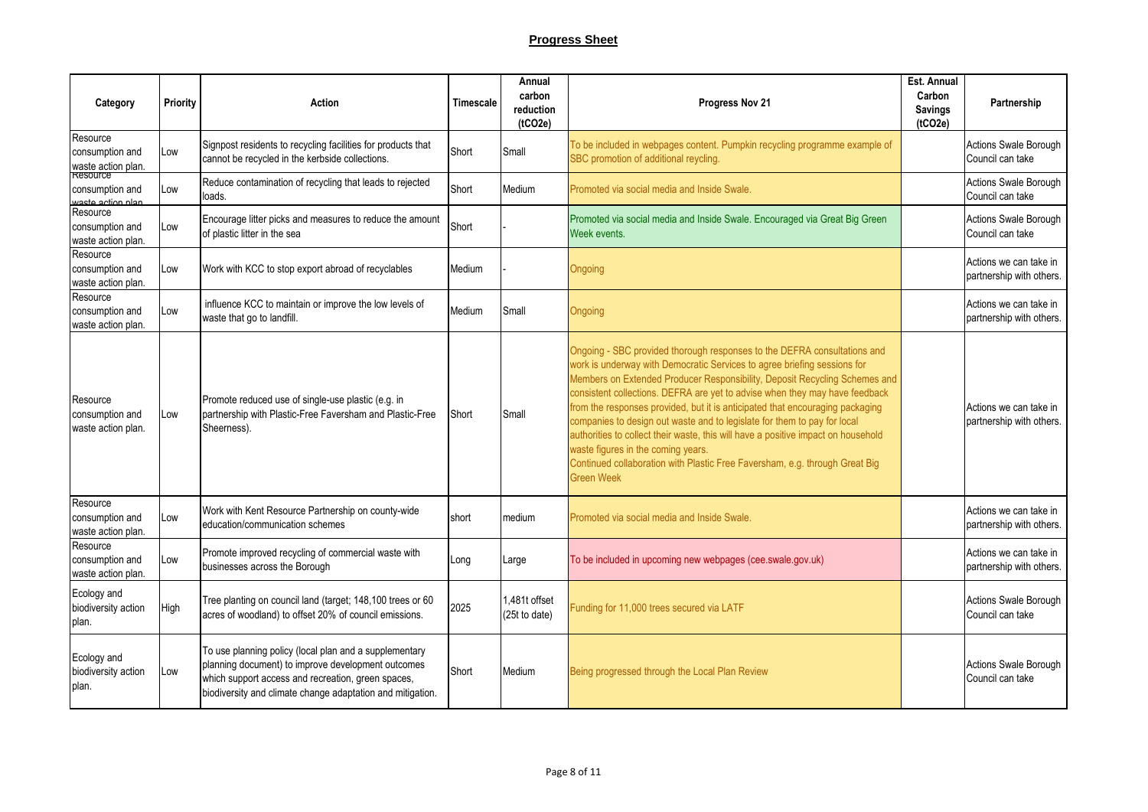| Category                                          | Priority | Action                                                                                                                                                                                                                           | <b>Timescale</b> | Annual<br>carbon<br>reduction<br>(tCO2e) | Progress Nov 21                                                                                                                                                                                                                                                                                                                                                                                                                                                                                                                                                                                                                                                                                               | Est. Annual<br>Carbon<br><b>Savings</b><br>(tCO2e) | Partnership                                        |
|---------------------------------------------------|----------|----------------------------------------------------------------------------------------------------------------------------------------------------------------------------------------------------------------------------------|------------------|------------------------------------------|---------------------------------------------------------------------------------------------------------------------------------------------------------------------------------------------------------------------------------------------------------------------------------------------------------------------------------------------------------------------------------------------------------------------------------------------------------------------------------------------------------------------------------------------------------------------------------------------------------------------------------------------------------------------------------------------------------------|----------------------------------------------------|----------------------------------------------------|
| Resource<br>consumption and<br>waste action plan. | Low      | Signpost residents to recycling facilities for products that<br>cannot be recycled in the kerbside collections.                                                                                                                  | Short            | Small                                    | To be included in webpages content. Pumpkin recycling programme example of<br>SBC promotion of additional reycling.                                                                                                                                                                                                                                                                                                                                                                                                                                                                                                                                                                                           |                                                    | Actions Swale Borough<br>Council can take          |
| Resource<br>consumption and<br>waste action nlan  | Low      | Reduce contamination of recycling that leads to rejected<br>loads.                                                                                                                                                               | Short            | Medium                                   | Promoted via social media and Inside Swale.                                                                                                                                                                                                                                                                                                                                                                                                                                                                                                                                                                                                                                                                   |                                                    | Actions Swale Borough<br>Council can take          |
| Resource<br>consumption and<br>waste action plan. | Low      | Encourage litter picks and measures to reduce the amount<br>of plastic litter in the sea                                                                                                                                         | Short            |                                          | Promoted via social media and Inside Swale. Encouraged via Great Big Green<br>Week events.                                                                                                                                                                                                                                                                                                                                                                                                                                                                                                                                                                                                                    |                                                    | Actions Swale Borough<br>Council can take          |
| Resource<br>consumption and<br>waste action plan. | Low      | Work with KCC to stop export abroad of recyclables                                                                                                                                                                               | Medium           |                                          | Ongoing                                                                                                                                                                                                                                                                                                                                                                                                                                                                                                                                                                                                                                                                                                       |                                                    | Actions we can take in<br>partnership with others. |
| Resource<br>consumption and<br>waste action plan. | Low      | influence KCC to maintain or improve the low levels of<br>waste that go to landfill.                                                                                                                                             | Medium           | Small                                    | Ongoing                                                                                                                                                                                                                                                                                                                                                                                                                                                                                                                                                                                                                                                                                                       |                                                    | Actions we can take in<br>partnership with others. |
| Resource<br>consumption and<br>waste action plan. | Low      | Promote reduced use of single-use plastic (e.g. in<br>partnership with Plastic-Free Faversham and Plastic-Free<br>Sheerness).                                                                                                    | Short            | Small                                    | Ongoing - SBC provided thorough responses to the DEFRA consultations and<br>work is underway with Democratic Services to agree briefing sessions for<br>Members on Extended Producer Responsibility, Deposit Recycling Schemes and<br>consistent collections. DEFRA are yet to advise when they may have feedback<br>from the responses provided, but it is anticipated that encouraging packaging<br>companies to design out waste and to legislate for them to pay for local<br>authorities to collect their waste, this will have a positive impact on household<br>waste figures in the coming years.<br>Continued collaboration with Plastic Free Faversham, e.g. through Great Big<br><b>Green Week</b> |                                                    | Actions we can take in<br>partnership with others. |
| Resource<br>consumption and<br>waste action plan. | Low      | Work with Kent Resource Partnership on county-wide<br>education/communication schemes                                                                                                                                            | short            | medium                                   | Promoted via social media and Inside Swale.                                                                                                                                                                                                                                                                                                                                                                                                                                                                                                                                                                                                                                                                   |                                                    | Actions we can take in<br>partnership with others. |
| Resource<br>consumption and<br>waste action plan. | Low      | Promote improved recycling of commercial waste with<br>businesses across the Borough                                                                                                                                             | Long             | Large                                    | To be included in upcoming new webpages (cee.swale.gov.uk)                                                                                                                                                                                                                                                                                                                                                                                                                                                                                                                                                                                                                                                    |                                                    | Actions we can take in<br>partnership with others. |
| Ecology and<br>biodiversity action<br>plan.       | High     | Tree planting on council land (target; 148,100 trees or 60<br>acres of woodland) to offset 20% of council emissions.                                                                                                             | 2025             | 1.481t offset<br>(25t to date)           | Funding for 11,000 trees secured via LATF                                                                                                                                                                                                                                                                                                                                                                                                                                                                                                                                                                                                                                                                     |                                                    | Actions Swale Borough<br>Council can take          |
| Ecology and<br>biodiversity action<br>plan.       | Low      | To use planning policy (local plan and a supplementary<br>planning document) to improve development outcomes<br>which support access and recreation, green spaces,<br>biodiversity and climate change adaptation and mitigation. | Short            | Medium                                   | Being progressed through the Local Plan Review                                                                                                                                                                                                                                                                                                                                                                                                                                                                                                                                                                                                                                                                |                                                    | Actions Swale Borough<br>Council can take          |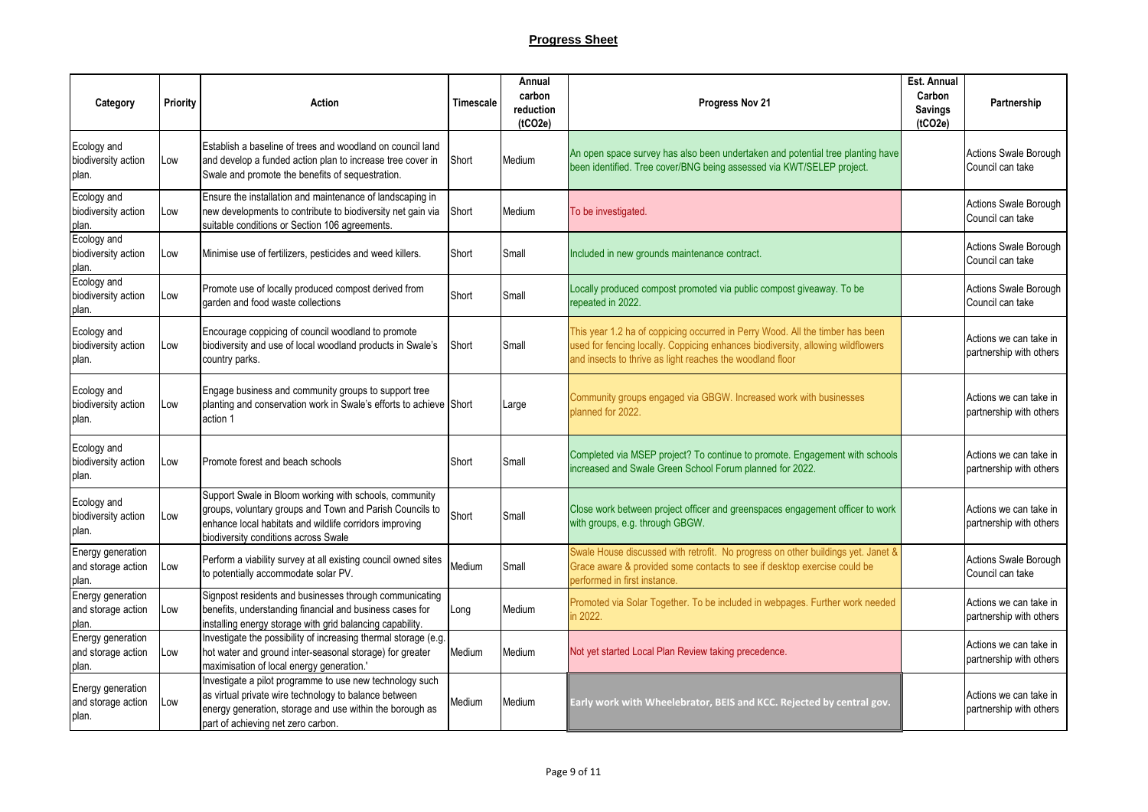| Category                                         | Priority | Action                                                                                                                                                                                                                | Timescale | Annual<br>carbon<br>reduction<br>(tCO2e) | Progress Nov 21                                                                                                                                                                                                               | Est. Annual<br>Carbon<br><b>Savings</b><br>(tCO2e) | Partnership                                       |
|--------------------------------------------------|----------|-----------------------------------------------------------------------------------------------------------------------------------------------------------------------------------------------------------------------|-----------|------------------------------------------|-------------------------------------------------------------------------------------------------------------------------------------------------------------------------------------------------------------------------------|----------------------------------------------------|---------------------------------------------------|
| Ecology and<br>biodiversity action<br>plan.      | Low      | Establish a baseline of trees and woodland on council land<br>and develop a funded action plan to increase tree cover in<br>Swale and promote the benefits of sequestration.                                          | Short     | Medium                                   | An open space survey has also been undertaken and potential tree planting have<br>been identified. Tree cover/BNG being assessed via KWT/SELEP project.                                                                       |                                                    | Actions Swale Borough<br>Council can take         |
| Ecology and<br>biodiversity action<br>plan.      | Low      | Ensure the installation and maintenance of landscaping in<br>new developments to contribute to biodiversity net gain via<br>suitable conditions or Section 106 agreements.                                            | Short     | Medium                                   | To be investigated.                                                                                                                                                                                                           |                                                    | Actions Swale Borough<br>Council can take         |
| Ecology and<br>biodiversity action<br>plan.      | Low      | Minimise use of fertilizers, pesticides and weed killers.                                                                                                                                                             | Short     | Small                                    | Included in new grounds maintenance contract.                                                                                                                                                                                 |                                                    | Actions Swale Borough<br>Council can take         |
| Ecology and<br>biodiversity action<br>plan.      | Low      | Promote use of locally produced compost derived from<br>garden and food waste collections                                                                                                                             | Short     | Small                                    | Locally produced compost promoted via public compost giveaway. To be<br>repeated in 2022.                                                                                                                                     |                                                    | Actions Swale Borough<br>Council can take         |
| Ecology and<br>biodiversity action<br>plan.      | Low      | Encourage coppicing of council woodland to promote<br>biodiversity and use of local woodland products in Swale's<br>country parks.                                                                                    | Short     | Small                                    | This year 1.2 ha of coppicing occurred in Perry Wood. All the timber has been<br>used for fencing locally. Coppicing enhances biodiversity, allowing wildflowers<br>and insects to thrive as light reaches the woodland floor |                                                    | Actions we can take in<br>partnership with others |
| Ecology and<br>biodiversity action<br>plan.      | Low      | Engage business and community groups to support tree<br>planting and conservation work in Swale's efforts to achieve Short<br>action 1                                                                                |           | Large                                    | Community groups engaged via GBGW. Increased work with businesses<br>planned for 2022.                                                                                                                                        |                                                    | Actions we can take in<br>partnership with others |
| Ecology and<br>biodiversity action<br>plan.      | Low      | Promote forest and beach schools                                                                                                                                                                                      | Short     | Small                                    | Completed via MSEP project? To continue to promote. Engagement with schools<br>increased and Swale Green School Forum planned for 2022.                                                                                       |                                                    | Actions we can take in<br>partnership with others |
| Ecology and<br>biodiversity action<br>plan.      | Low      | Support Swale in Bloom working with schools, community<br>groups, voluntary groups and Town and Parish Councils to<br>enhance local habitats and wildlife corridors improving<br>biodiversity conditions across Swale | Short     | Small                                    | Close work between project officer and greenspaces engagement officer to work<br>with groups, e.g. through GBGW.                                                                                                              |                                                    | Actions we can take in<br>partnership with others |
| Energy generation<br>and storage action<br>plan. | Low      | Perform a viability survey at all existing council owned sites<br>to potentially accommodate solar PV.                                                                                                                | Medium    | Small                                    | Swale House discussed with retrofit. No progress on other buildings yet. Janet &<br>Grace aware & provided some contacts to see if desktop exercise could be<br>performed in first instance.                                  |                                                    | Actions Swale Borough<br>Council can take         |
| Energy generation<br>and storage action<br>plan. | LOW      | Signpost residents and businesses through communicating<br>benefits, understanding financial and business cases for<br>installing energy storage with grid balancing capability.                                      | Long      | Medium                                   | Promoted via Solar Together. To be included in webpages. Further work needed<br>in 2022.                                                                                                                                      |                                                    | Actions we can take in<br>partnership with others |
| Energy generation<br>and storage action<br>plan. | Low      | Investigate the possibility of increasing thermal storage (e.g.<br>hot water and ground inter-seasonal storage) for greater<br>maximisation of local energy generation.'                                              | Medium    | Medium                                   | Not yet started Local Plan Review taking precedence.                                                                                                                                                                          |                                                    | Actions we can take in<br>partnership with others |
| Energy generation<br>and storage action<br>plan. | Low      | Investigate a pilot programme to use new technology such<br>as virtual private wire technology to balance between<br>energy generation, storage and use within the borough as<br>part of achieving net zero carbon.   | Medium    | Medium                                   | Early work with Wheelebrator, BEIS and KCC. Rejected by central gov.                                                                                                                                                          |                                                    | Actions we can take in<br>partnership with others |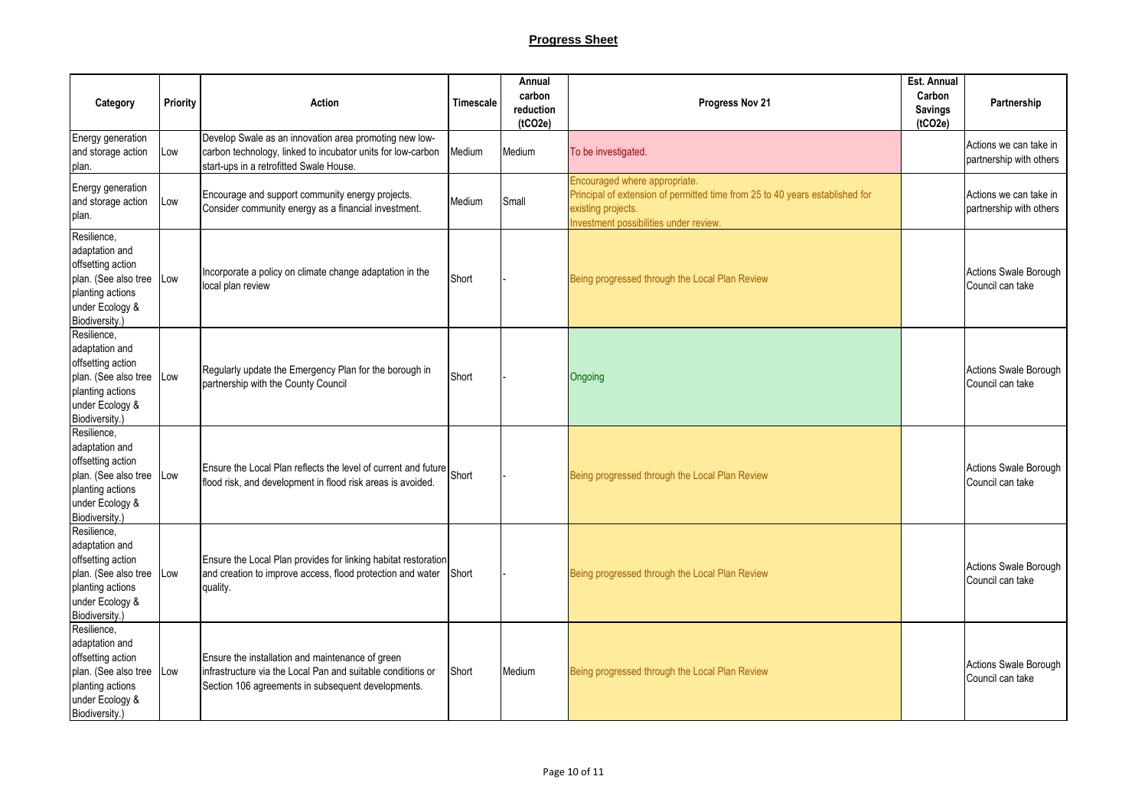| Category                                                                                                                                | Priority | <b>Action</b>                                                                                                                                                         | Timescale | Annual<br>carbon<br>reduction<br>(tCO2e) | Progress Nov 21                                                                                                                                                               | Est. Annual<br>Carbon<br><b>Savings</b><br>(tCO2e) | Partnership                                       |
|-----------------------------------------------------------------------------------------------------------------------------------------|----------|-----------------------------------------------------------------------------------------------------------------------------------------------------------------------|-----------|------------------------------------------|-------------------------------------------------------------------------------------------------------------------------------------------------------------------------------|----------------------------------------------------|---------------------------------------------------|
| Energy generation<br>and storage action<br>plan.                                                                                        | Low      | Develop Swale as an innovation area promoting new low-<br>carbon technology, linked to incubator units for low-carbon<br>start-ups in a retrofitted Swale House.      | Medium    | Medium                                   | To be investigated.                                                                                                                                                           |                                                    | Actions we can take in<br>partnership with others |
| Energy generation<br>and storage action<br>plan.                                                                                        | Low      | Encourage and support community energy projects.<br>Consider community energy as a financial investment.                                                              | Medium    | Small                                    | Encouraged where appropriate.<br>Principal of extension of permitted time from 25 to 40 years established for<br>existing projects.<br>Investment possibilities under review. |                                                    | Actions we can take in<br>partnership with others |
| Resilience,<br>adaptation and<br>offsetting action<br>plan. (See also tree Low<br>planting actions<br>under Ecology &<br>Biodiversity.) |          | Incorporate a policy on climate change adaptation in the<br>local plan review                                                                                         | Short     |                                          | Being progressed through the Local Plan Review                                                                                                                                |                                                    | Actions Swale Borough<br>Council can take         |
| Resilience,<br>adaptation and<br>offsetting action<br>plan. (See also tree<br>planting actions<br>under Ecology &<br>Biodiversity.)     | Low      | Regularly update the Emergency Plan for the borough in<br>partnership with the County Council                                                                         | Short     |                                          | Ongoing                                                                                                                                                                       |                                                    | Actions Swale Borough<br>Council can take         |
| Resilience.<br>adaptation and<br>offsetting action<br>plan. (See also tree<br>planting actions<br>under Ecology &<br>Biodiversity.)     | Low      | Ensure the Local Plan reflects the level of current and future Short<br>flood risk, and development in flood risk areas is avoided.                                   |           |                                          | Being progressed through the Local Plan Review                                                                                                                                |                                                    | <b>Actions Swale Borough</b><br>Council can take  |
| Resilience,<br>adaptation and<br>offsetting action<br>plan. (See also tree Low<br>planting actions<br>under Ecology &<br>Biodiversity.) |          | Ensure the Local Plan provides for linking habitat restoration<br>and creation to improve access, flood protection and water<br>quality.                              | Short     |                                          | Being progressed through the Local Plan Review                                                                                                                                |                                                    | <b>Actions Swale Borough</b><br>Council can take  |
| Resilience,<br>adaptation and<br>offsetting action<br>plan. (See also tree<br>planting actions<br>under Ecology &<br>Biodiversity.)     | Low      | Ensure the installation and maintenance of green<br>infrastructure via the Local Pan and suitable conditions or<br>Section 106 agreements in subsequent developments. | Short     | Medium                                   | Being progressed through the Local Plan Review                                                                                                                                |                                                    | Actions Swale Borough<br>Council can take         |